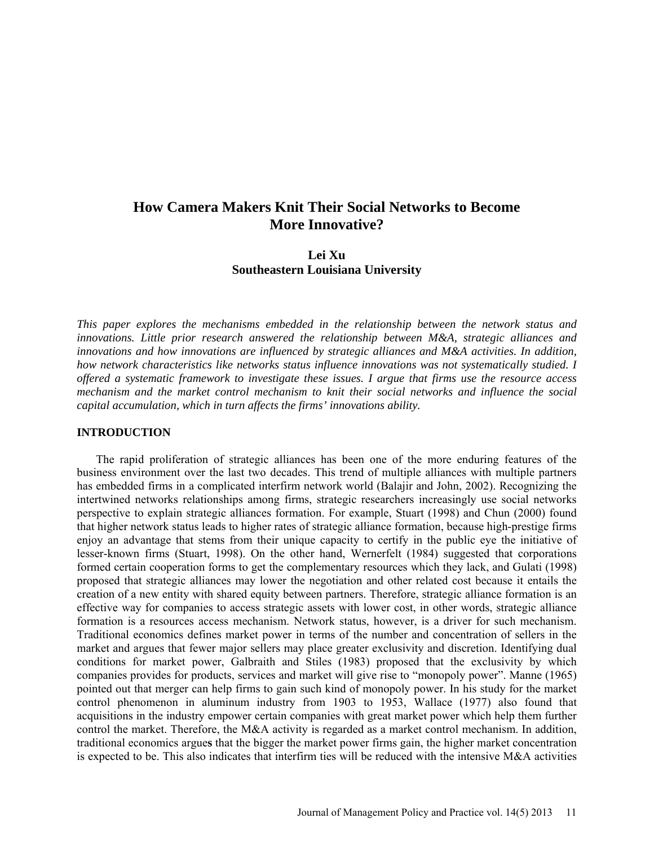# **How Camera Makers Knit Their Social Networks to Become More Innovative?**

# **Lei Xu Southeastern Louisiana University**

*This paper explores the mechanisms embedded in the relationship between the network status and innovations. Little prior research answered the relationship between M&A, strategic alliances and innovations and how innovations are influenced by strategic alliances and M&A activities. In addition, how network characteristics like networks status influence innovations was not systematically studied. I offered a systematic framework to investigate these issues. I argue that firms use the resource access mechanism and the market control mechanism to knit their social networks and influence the social capital accumulation, which in turn affects the firms' innovations ability.* 

#### **INTRODUCTION**

The rapid proliferation of strategic alliances has been one of the more enduring features of the business environment over the last two decades. This trend of multiple alliances with multiple partners has embedded firms in a complicated interfirm network world (Balajir and John, 2002). Recognizing the intertwined networks relationships among firms, strategic researchers increasingly use social networks perspective to explain strategic alliances formation. For example, Stuart (1998) and Chun (2000) found that higher network status leads to higher rates of strategic alliance formation, because high-prestige firms enjoy an advantage that stems from their unique capacity to certify in the public eye the initiative of lesser-known firms (Stuart, 1998). On the other hand, Wernerfelt (1984) suggested that corporations formed certain cooperation forms to get the complementary resources which they lack, and Gulati (1998) proposed that strategic alliances may lower the negotiation and other related cost because it entails the creation of a new entity with shared equity between partners. Therefore, strategic alliance formation is an effective way for companies to access strategic assets with lower cost, in other words, strategic alliance formation is a resources access mechanism. Network status, however, is a driver for such mechanism. Traditional economics defines market power in terms of the number and concentration of sellers in the market and argues that fewer major sellers may place greater exclusivity and discretion. Identifying dual conditions for market power, Galbraith and Stiles (1983) proposed that the exclusivity by which companies provides for products, services and market will give rise to "monopoly power". Manne (1965) pointed out that merger can help firms to gain such kind of monopoly power. In his study for the market control phenomenon in aluminum industry from 1903 to 1953, Wallace (1977) also found that acquisitions in the industry empower certain companies with great market power which help them further control the market. Therefore, the M&A activity is regarded as a market control mechanism. In addition, traditional economics argue**s** that the bigger the market power firms gain, the higher market concentration is expected to be. This also indicates that interfirm ties will be reduced with the intensive M&A activities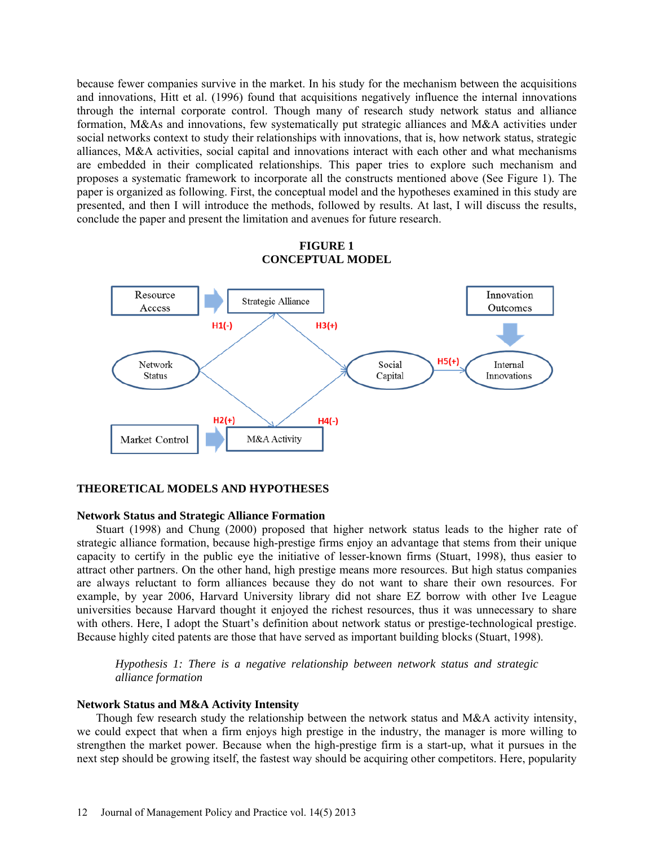because fewer companies survive in the market. In his study for the mechanism between the acquisitions and innovations, Hitt et al. (1996) found that acquisitions negatively influence the internal innovations through the internal corporate control. Though many of research study network status and alliance formation, M&As and innovations, few systematically put strategic alliances and M&A activities under social networks context to study their relationships with innovations, that is, how network status, strategic alliances, M&A activities, social capital and innovations interact with each other and what mechanisms are embedded in their complicated relationships. This paper tries to explore such mechanism and proposes a systematic framework to incorporate all the constructs mentioned above (See Figure 1). The paper is organized as following. First, the conceptual model and the hypotheses examined in this study are presented, and then I will introduce the methods, followed by results. At last, I will discuss the results, conclude the paper and present the limitation and avenues for future research.



# **FIGURE 1 CONCEPTUAL MODEL**

### **THEORETICAL MODELS AND HYPOTHESES**

#### **Network Status and Strategic Alliance Formation**

Stuart (1998) and Chung (2000) proposed that higher network status leads to the higher rate of strategic alliance formation, because high-prestige firms enjoy an advantage that stems from their unique capacity to certify in the public eye the initiative of lesser-known firms (Stuart, 1998), thus easier to attract other partners. On the other hand, high prestige means more resources. But high status companies are always reluctant to form alliances because they do not want to share their own resources. For example, by year 2006, Harvard University library did not share EZ borrow with other Ive League universities because Harvard thought it enjoyed the richest resources, thus it was unnecessary to share with others. Here, I adopt the Stuart's definition about network status or prestige-technological prestige. Because highly cited patents are those that have served as important building blocks (Stuart, 1998).

*Hypothesis 1: There is a negative relationship between network status and strategic alliance formation*

#### **Network Status and M&A Activity Intensity**

Though few research study the relationship between the network status and  $M&A$  activity intensity, we could expect that when a firm enjoys high prestige in the industry, the manager is more willing to strengthen the market power. Because when the high-prestige firm is a start-up, what it pursues in the next step should be growing itself, the fastest way should be acquiring other competitors. Here, popularity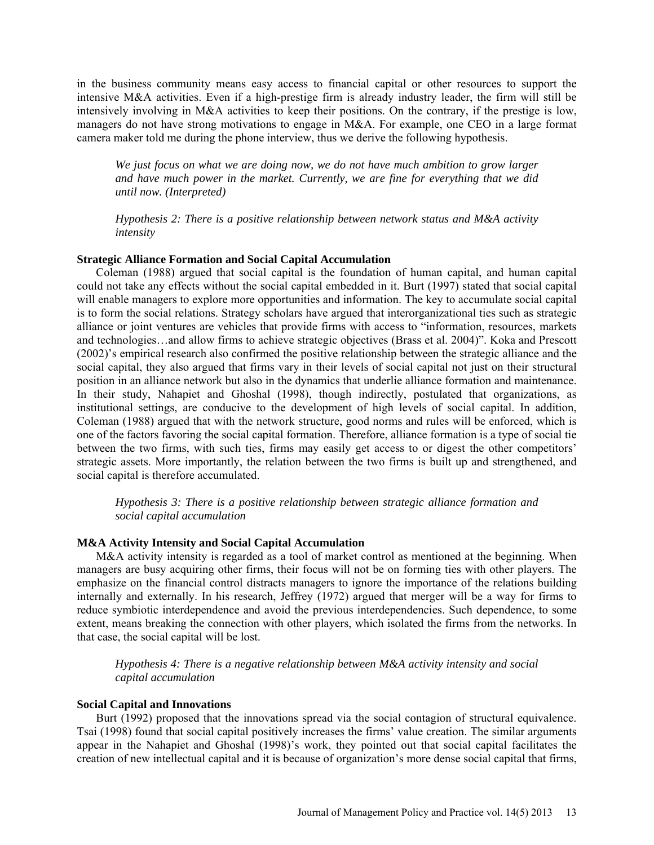in the business community means easy access to financial capital or other resources to support the intensive M&A activities. Even if a high-prestige firm is already industry leader, the firm will still be intensively involving in M&A activities to keep their positions. On the contrary, if the prestige is low, managers do not have strong motivations to engage in M&A. For example, one CEO in a large format camera maker told me during the phone interview, thus we derive the following hypothesis.

*We just focus on what we are doing now, we do not have much ambition to grow larger and have much power in the market. Currently, we are fine for everything that we did until now. (Interpreted)* 

*Hypothesis 2: There is a positive relationship between network status and M&A activity intensity*

#### **Strategic Alliance Formation and Social Capital Accumulation**

Coleman (1988) argued that social capital is the foundation of human capital, and human capital could not take any effects without the social capital embedded in it. Burt (1997) stated that social capital will enable managers to explore more opportunities and information. The key to accumulate social capital is to form the social relations. Strategy scholars have argued that interorganizational ties such as strategic alliance or joint ventures are vehicles that provide firms with access to "information, resources, markets and technologies…and allow firms to achieve strategic objectives (Brass et al. 2004)". Koka and Prescott (2002)'s empirical research also confirmed the positive relationship between the strategic alliance and the social capital, they also argued that firms vary in their levels of social capital not just on their structural position in an alliance network but also in the dynamics that underlie alliance formation and maintenance. In their study, Nahapiet and Ghoshal (1998), though indirectly, postulated that organizations, as institutional settings, are conducive to the development of high levels of social capital. In addition, Coleman (1988) argued that with the network structure, good norms and rules will be enforced, which is one of the factors favoring the social capital formation. Therefore, alliance formation is a type of social tie between the two firms, with such ties, firms may easily get access to or digest the other competitors' strategic assets. More importantly, the relation between the two firms is built up and strengthened, and social capital is therefore accumulated.

*Hypothesis 3: There is a positive relationship between strategic alliance formation and social capital accumulation*

### **M&A Activity Intensity and Social Capital Accumulation**

M&A activity intensity is regarded as a tool of market control as mentioned at the beginning. When managers are busy acquiring other firms, their focus will not be on forming ties with other players. The emphasize on the financial control distracts managers to ignore the importance of the relations building internally and externally. In his research, Jeffrey (1972) argued that merger will be a way for firms to reduce symbiotic interdependence and avoid the previous interdependencies. Such dependence, to some extent, means breaking the connection with other players, which isolated the firms from the networks. In that case, the social capital will be lost.

*Hypothesis 4: There is a negative relationship between M&A activity intensity and social capital accumulation*

#### **Social Capital and Innovations**

Burt (1992) proposed that the innovations spread via the social contagion of structural equivalence. Tsai (1998) found that social capital positively increases the firms' value creation. The similar arguments appear in the Nahapiet and Ghoshal (1998)'s work, they pointed out that social capital facilitates the creation of new intellectual capital and it is because of organization's more dense social capital that firms,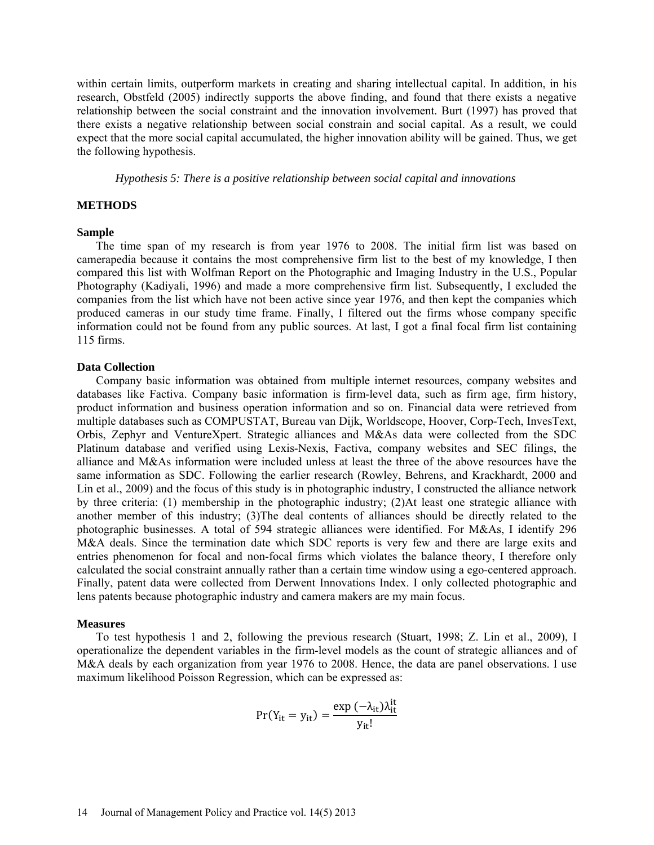within certain limits, outperform markets in creating and sharing intellectual capital. In addition, in his research, Obstfeld (2005) indirectly supports the above finding, and found that there exists a negative relationship between the social constraint and the innovation involvement. Burt (1997) has proved that there exists a negative relationship between social constrain and social capital. As a result, we could expect that the more social capital accumulated, the higher innovation ability will be gained. Thus, we get the following hypothesis.

*Hypothesis 5: There is a positive relationship between social capital and innovations* 

# **METHODS**

#### **Sample**

The time span of my research is from year 1976 to 2008. The initial firm list was based on camerapedia because it contains the most comprehensive firm list to the best of my knowledge, I then compared this list with Wolfman Report on the Photographic and Imaging Industry in the U.S., Popular Photography (Kadiyali, 1996) and made a more comprehensive firm list. Subsequently, I excluded the companies from the list which have not been active since year 1976, and then kept the companies which produced cameras in our study time frame. Finally, I filtered out the firms whose company specific information could not be found from any public sources. At last, I got a final focal firm list containing 115 firms.

#### **Data Collection**

Company basic information was obtained from multiple internet resources, company websites and databases like Factiva. Company basic information is firm-level data, such as firm age, firm history, product information and business operation information and so on. Financial data were retrieved from multiple databases such as COMPUSTAT, Bureau van Dijk, Worldscope, Hoover, Corp-Tech, InvesText, Orbis, Zephyr and VentureXpert. Strategic alliances and M&As data were collected from the SDC Platinum database and verified using Lexis-Nexis, Factiva, company websites and SEC filings, the alliance and M&As information were included unless at least the three of the above resources have the same information as SDC. Following the earlier research (Rowley, Behrens, and Krackhardt, 2000 and Lin et al., 2009) and the focus of this study is in photographic industry, I constructed the alliance network by three criteria: (1) membership in the photographic industry; (2)At least one strategic alliance with another member of this industry; (3)The deal contents of alliances should be directly related to the photographic businesses. A total of 594 strategic alliances were identified. For M&As, I identify 296 M&A deals. Since the termination date which SDC reports is very few and there are large exits and entries phenomenon for focal and non-focal firms which violates the balance theory, I therefore only calculated the social constraint annually rather than a certain time window using a ego-centered approach. Finally, patent data were collected from Derwent Innovations Index. I only collected photographic and lens patents because photographic industry and camera makers are my main focus.

#### **Measures**

To test hypothesis 1 and 2, following the previous research (Stuart, 1998; Z. Lin et al., 2009), I operationalize the dependent variables in the firm-level models as the count of strategic alliances and of M&A deals by each organization from year 1976 to 2008. Hence, the data are panel observations. I use maximum likelihood Poisson Regression, which can be expressed as:

$$
Pr(Y_{it} = y_{it}) = \frac{\exp(-\lambda_{it})\lambda_{it}^{it}}{y_{it}!}
$$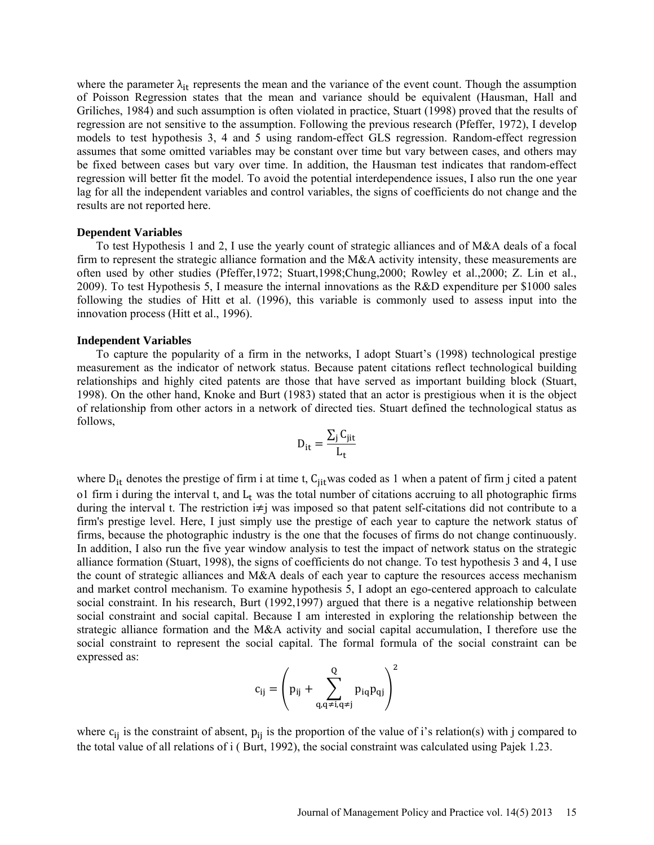where the parameter  $\lambda_{it}$  represents the mean and the variance of the event count. Though the assumption of Poisson Regression states that the mean and variance should be equivalent (Hausman, Hall and Griliches, 1984) and such assumption is often violated in practice, Stuart (1998) proved that the results of regression are not sensitive to the assumption. Following the previous research (Pfeffer, 1972), I develop models to test hypothesis 3, 4 and 5 using random-effect GLS regression. Random-effect regression assumes that some omitted variables may be constant over time but vary between cases, and others may be fixed between cases but vary over time. In addition, the Hausman test indicates that random-effect regression will better fit the model. To avoid the potential interdependence issues, I also run the one year lag for all the independent variables and control variables, the signs of coefficients do not change and the results are not reported here.

#### **Dependent Variables**

To test Hypothesis 1 and 2, I use the yearly count of strategic alliances and of M&A deals of a focal firm to represent the strategic alliance formation and the M&A activity intensity, these measurements are often used by other studies (Pfeffer,1972; Stuart,1998;Chung,2000; Rowley et al.,2000; Z. Lin et al., 2009). To test Hypothesis 5, I measure the internal innovations as the R&D expenditure per \$1000 sales following the studies of Hitt et al. (1996), this variable is commonly used to assess input into the innovation process (Hitt et al., 1996).

#### **Independent Variables**

To capture the popularity of a firm in the networks, I adopt Stuart's (1998) technological prestige measurement as the indicator of network status. Because patent citations reflect technological building relationships and highly cited patents are those that have served as important building block (Stuart, 1998). On the other hand, Knoke and Burt (1983) stated that an actor is prestigious when it is the object of relationship from other actors in a network of directed ties. Stuart defined the technological status as follows,

$$
D_{it} = \frac{\sum_{j} C_{jit}}{L_t}
$$

where  $D_{it}$  denotes the prestige of firm i at time t, C<sub>jit</sub>was coded as 1 when a patent of firm j cited a patent o1 firm i during the interval t, and  $L_t$  was the total number of citations accruing to all photographic firms during the interval t. The restriction i≠j was imposed so that patent self-citations did not contribute to a firm's prestige level. Here, I just simply use the prestige of each year to capture the network status of firms, because the photographic industry is the one that the focuses of firms do not change continuously. In addition, I also run the five year window analysis to test the impact of network status on the strategic alliance formation (Stuart, 1998), the signs of coefficients do not change. To test hypothesis 3 and 4, I use the count of strategic alliances and M&A deals of each year to capture the resources access mechanism and market control mechanism. To examine hypothesis 5, I adopt an ego-centered approach to calculate social constraint. In his research, Burt (1992,1997) argued that there is a negative relationship between social constraint and social capital. Because I am interested in exploring the relationship between the strategic alliance formation and the M&A activity and social capital accumulation, I therefore use the social constraint to represent the social capital. The formal formula of the social constraint can be expressed as:

$$
c_{ij} = \left(p_{ij} + \sum_{q,q \neq i,q \neq j}^{Q} p_{iq} p_{qj}\right)^2
$$

where  $c_{ij}$  is the constraint of absent,  $p_{ij}$  is the proportion of the value of i's relation(s) with j compared to the total value of all relations of i ( Burt, 1992), the social constraint was calculated using Pajek 1.23.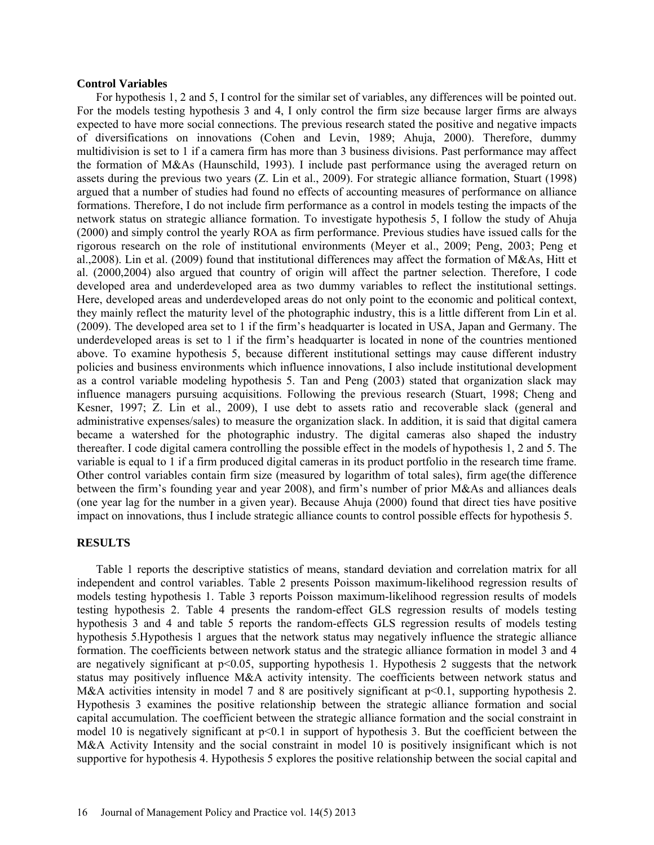#### **Control Variables**

For hypothesis 1, 2 and 5, I control for the similar set of variables, any differences will be pointed out. For the models testing hypothesis 3 and 4, I only control the firm size because larger firms are always expected to have more social connections. The previous research stated the positive and negative impacts of diversifications on innovations (Cohen and Levin, 1989; Ahuja, 2000). Therefore, dummy multidivision is set to 1 if a camera firm has more than 3 business divisions. Past performance may affect the formation of M&As (Haunschild, 1993). I include past performance using the averaged return on assets during the previous two years (Z. Lin et al., 2009). For strategic alliance formation, Stuart (1998) argued that a number of studies had found no effects of accounting measures of performance on alliance formations. Therefore, I do not include firm performance as a control in models testing the impacts of the network status on strategic alliance formation. To investigate hypothesis 5, I follow the study of Ahuja (2000) and simply control the yearly ROA as firm performance. Previous studies have issued calls for the rigorous research on the role of institutional environments (Meyer et al., 2009; Peng, 2003; Peng et al.,2008). Lin et al. (2009) found that institutional differences may affect the formation of M&As, Hitt et al. (2000,2004) also argued that country of origin will affect the partner selection. Therefore, I code developed area and underdeveloped area as two dummy variables to reflect the institutional settings. Here, developed areas and underdeveloped areas do not only point to the economic and political context, they mainly reflect the maturity level of the photographic industry, this is a little different from Lin et al. (2009). The developed area set to 1 if the firm's headquarter is located in USA, Japan and Germany. The underdeveloped areas is set to 1 if the firm's headquarter is located in none of the countries mentioned above. To examine hypothesis 5, because different institutional settings may cause different industry policies and business environments which influence innovations, I also include institutional development as a control variable modeling hypothesis 5. Tan and Peng (2003) stated that organization slack may influence managers pursuing acquisitions. Following the previous research (Stuart, 1998; Cheng and Kesner, 1997; Z. Lin et al., 2009), I use debt to assets ratio and recoverable slack (general and administrative expenses/sales) to measure the organization slack. In addition, it is said that digital camera became a watershed for the photographic industry. The digital cameras also shaped the industry thereafter. I code digital camera controlling the possible effect in the models of hypothesis 1, 2 and 5. The variable is equal to 1 if a firm produced digital cameras in its product portfolio in the research time frame. Other control variables contain firm size (measured by logarithm of total sales), firm age(the difference between the firm's founding year and year 2008), and firm's number of prior M&As and alliances deals (one year lag for the number in a given year). Because Ahuja (2000) found that direct ties have positive impact on innovations, thus I include strategic alliance counts to control possible effects for hypothesis 5.

### **RESULTS**

Table 1 reports the descriptive statistics of means, standard deviation and correlation matrix for all independent and control variables. Table 2 presents Poisson maximum-likelihood regression results of models testing hypothesis 1. Table 3 reports Poisson maximum-likelihood regression results of models testing hypothesis 2. Table 4 presents the random-effect GLS regression results of models testing hypothesis 3 and 4 and table 5 reports the random-effects GLS regression results of models testing hypothesis 5.Hypothesis 1 argues that the network status may negatively influence the strategic alliance formation. The coefficients between network status and the strategic alliance formation in model 3 and 4 are negatively significant at  $p<0.05$ , supporting hypothesis 1. Hypothesis 2 suggests that the network status may positively influence M&A activity intensity. The coefficients between network status and M&A activities intensity in model 7 and 8 are positively significant at  $p<0.1$ , supporting hypothesis 2. Hypothesis 3 examines the positive relationship between the strategic alliance formation and social capital accumulation. The coefficient between the strategic alliance formation and the social constraint in model 10 is negatively significant at  $p<0.1$  in support of hypothesis 3. But the coefficient between the M&A Activity Intensity and the social constraint in model 10 is positively insignificant which is not supportive for hypothesis 4. Hypothesis 5 explores the positive relationship between the social capital and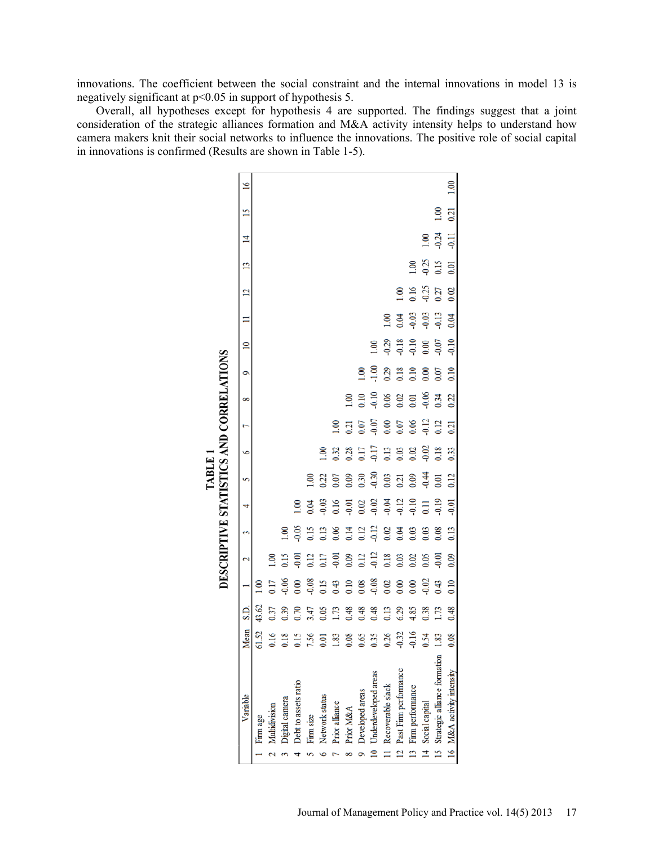innovations. The coefficient between the social constraint and the internal innovations in model 13 is negatively significant at p<0.05 in support of hypothesis 5.

Overall, all hypotheses except for hypothesis 4 are supported. The findings suggest that a joint consideration of the strategic alliances formation and M&A activity intensity helps to understand how camera makers knit their social networks to influence the innovations. The positive role of social capital in innovations is confirmed (Results are shown in Table 1-5).

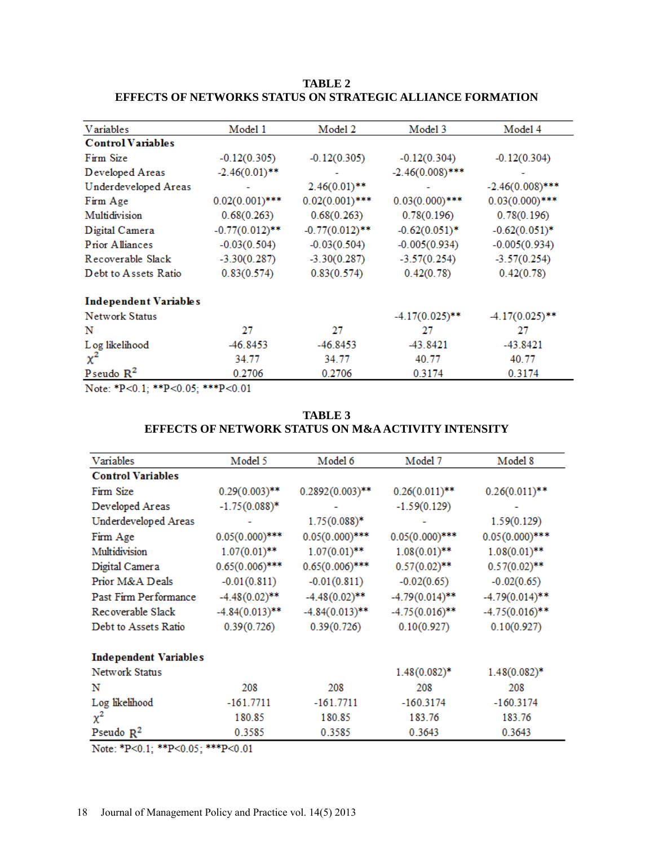# **TABLE 2 EFFECTS OF NETWORKS STATUS ON STRATEGIC ALLIANCE FORMATION**

| <b>V</b> ariables        | Model 1           | Model 2           | Model 3            | Model 4            |
|--------------------------|-------------------|-------------------|--------------------|--------------------|
| <b>Control Variables</b> |                   |                   |                    |                    |
| Firm Size                | $-0.12(0.305)$    | $-0.12(0.305)$    | $-0.12(0.304)$     | $-0.12(0.304)$     |
| Developed Areas          | $-2.46(0.01)$ **  |                   | $-2.46(0.008)$ *** |                    |
| Underdeveloped Areas     |                   | $2.46(0.01)$ **   |                    | $-2.46(0.008)$ *** |
| Firm Age                 | $0.02(0.001)$ *** | $0.02(0.001)$ *** | $0.03(0.000)$ ***  | $0.03(0.000)$ ***  |
| Multidivision            | 0.68(0.263)       | 0.68(0.263)       | 0.78(0.196)        | 0.78(0.196)        |
| Digital Camera           | $-0.77(0.012)$ ** | $-0.77(0.012)$ ** | $-0.62(0.051)$ *   | $-0.62(0.051)$ *   |
| Prior Alliances          | $-0.03(0.504)$    | $-0.03(0.504)$    | $-0.005(0.934)$    | $-0.005(0.934)$    |
| Recoverable Slack        | $-3.30(0.287)$    | $-3.30(0.287)$    | $-3.57(0.254)$     | $-3.57(0.254)$     |
| Debt to Assets Ratio     | 0.83(0.574)       | 0.83(0.574)       | 0.42(0.78)         | 0.42(0.78)         |
| Independent Variables    |                   |                   |                    |                    |
| Network Status           |                   |                   | $-4.17(0.025)$ **  | $-4.17(0.025)$ **  |
| N                        | 27                | 27                | 27                 | 27                 |
| L og likelihood          | -46.8453          | $-46.8453$        | -43.8421           | $-43.8421$         |
| $\chi^2$                 | 34.77             | 34.77             | 40.77              | 40.77              |
| Pseudo $R^2$             | 0.2706            | 0.2706            | 0.3174             | 0.3174             |

Note: \*P<0.1; \*\*P<0.05; \*\*\*P<0.01

# **TABLE 3 EFFECTS OF NETWORK STATUS ON M&A ACTIVITY INTENSITY**

| Variables                    | Model 5           | Model 6            | Model 7           | Model 8           |
|------------------------------|-------------------|--------------------|-------------------|-------------------|
| <b>Control Variables</b>     |                   |                    |                   |                   |
| Firm Size                    | $0.29(0.003)$ **  | $0.2892(0.003)$ ** | $0.26(0.011)$ **  | $0.26(0.011)$ **  |
| Developed Areas              | $-1.75(0.088)*$   |                    | $-1.59(0.129)$    |                   |
| Underdeveloped Areas         |                   | $1.75(0.088)*$     |                   | 1.59(0.129)       |
| Firm Age                     | $0.05(0.000)$ *** | $0.05(0.000)$ ***  | $0.05(0.000)$ *** | $0.05(0.000)$ *** |
| Multidivision                | $1.07(0.01)$ **   | $1.07(0.01)$ **    | $1.08(0.01)$ **   | $1.08(0.01)$ **   |
| Digital Camera               | $0.65(0.006)$ *** | $0.65(0.006)$ ***  | $0.57(0.02)$ **   | $0.57(0.02)$ **   |
| Prior M&A Deals              | $-0.01(0.811)$    | $-0.01(0.811)$     | $-0.02(0.65)$     | $-0.02(0.65)$     |
| Past Firm Performance        | $-4.48(0.02)$ **  | $-4.48(0.02)$ **   | $-4.79(0.014)$ ** | $-4.79(0.014)$ ** |
| Recoverable Slack            | $-4.84(0.013)$ ** | $-4.84(0.013)$ **  | $-4.75(0.016)$ ** | $-4.75(0.016)$ ** |
| Debt to Assets Ratio         | 0.39(0.726)       | 0.39(0.726)        | 0.10(0.927)       | 0.10(0.927)       |
| <b>Independent Variables</b> |                   |                    |                   |                   |
| Network Status               |                   |                    | $1.48(0.082)$ *   | $1.48(0.082)$ *   |
| N                            | 208               | 208                | 208               | 208               |
| Log likelihood               | $-161.7711$       | $-161.7711$        | $-160.3174$       | $-160.3174$       |
| $\chi^2$                     | 180.85            | 180.85             | 183.76            | 183.76            |
| Pseudo $R^2$                 | 0.3585            | 0.3585             | 0.3643            | 0.3643            |

Note: \*P<0.1; \*\*P<0.05; \*\*\*P<0.01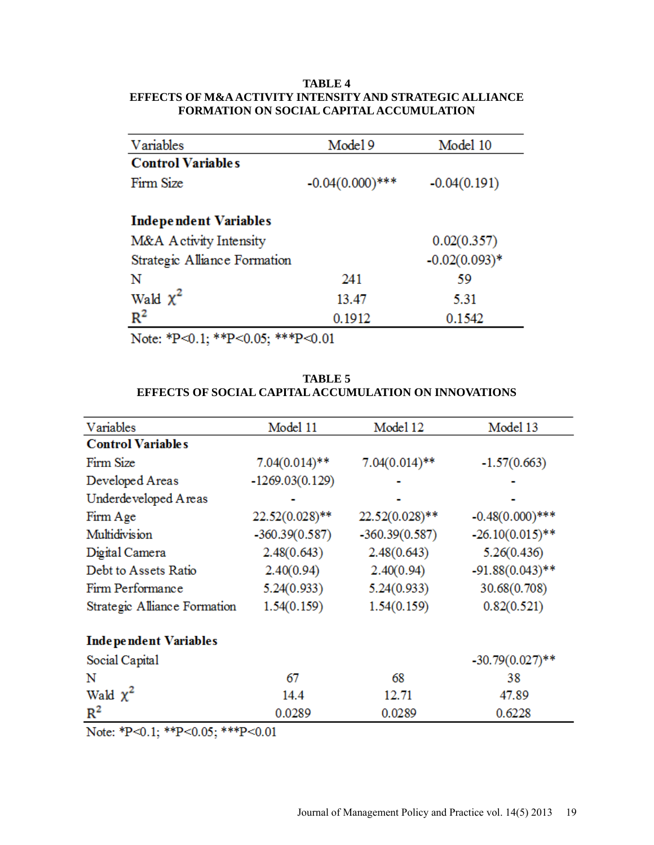# **TABLE 4 EFFECTS OF M&A ACTIVITY INTENSITY AND STRATEGIC ALLIANCE FORMATION ON SOCIAL CAPITALACCUMULATION**

| Variables                    | Model 9            | Model 10        |
|------------------------------|--------------------|-----------------|
| <b>Control Variables</b>     |                    |                 |
| Firm Size                    | $-0.04(0.000)$ *** | $-0.04(0.191)$  |
|                              |                    |                 |
| <b>Independent Variables</b> |                    |                 |
| M&A Activity Intensity       |                    | 0.02(0.357)     |
| Strategic Alliance Formation |                    | $-0.02(0.093)*$ |
| N                            | 241                | 59              |
| Wald $\chi^2$                | 13.47              | 5.31            |
| $R^2$                        | 0.1912             | 0.1542          |

Note: \*P<0.1; \*\*P<0.05; \*\*\*P<0.01

# **TABLE 5 EFFECTS OF SOCIAL CAPITALACCUMULATION ON INNOVATIONS**

| Variables                    | Model 11          | Model 12         | Model 13           |
|------------------------------|-------------------|------------------|--------------------|
| <b>Control Variables</b>     |                   |                  |                    |
| Firm Size                    | $7.04(0.014)**$   | $7.04(0.014)$ ** | $-1.57(0.663)$     |
| Developed Areas              | $-1269.03(0.129)$ |                  |                    |
| Underdeveloped Areas         |                   |                  |                    |
| Firm Age                     | $22.52(0.028)$ ** | $22.52(0.028)**$ | $-0.48(0.000)$ *** |
| Multidivision                | $-360.39(0.587)$  | $-360.39(0.587)$ | $-26.10(0.015)$ ** |
| Digital Camera               | 2.48(0.643)       | 2.48(0.643)      | 5.26(0.436)        |
| Debt to Assets Ratio         | 2.40(0.94)        | 2.40(0.94)       | $-91.88(0.043)$ ** |
| Firm Performance             | 5.24(0.933)       | 5.24(0.933)      | 30.68(0.708)       |
| Strategic Alliance Formation | 1.54(0.159)       | 1.54(0.159)      | 0.82(0.521)        |
| <b>Independent Variables</b> |                   |                  |                    |
| Social Capital               |                   |                  | $-30.79(0.027)$ ** |
| N                            | 67                | 68               | 38                 |
| Wald $\chi^2$                | 14.4              | 12.71            | 47.89              |
| $R^2$                        | 0.0289            | 0.0289           | 0.6228             |

Note: \*P<0.1; \*\*P<0.05; \*\*\*P<0.01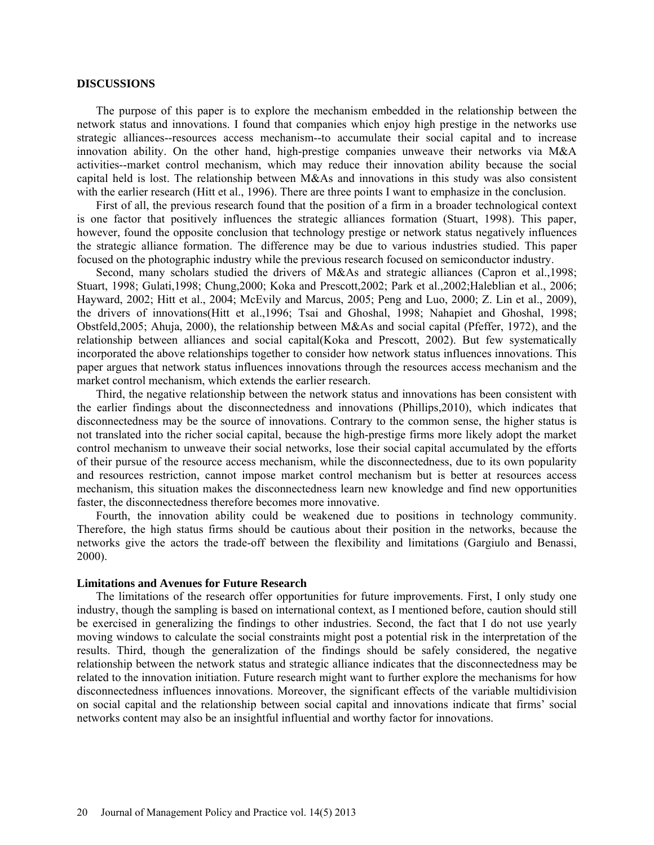#### **DISCUSSIONS**

The purpose of this paper is to explore the mechanism embedded in the relationship between the network status and innovations. I found that companies which enjoy high prestige in the networks use strategic alliances--resources access mechanism--to accumulate their social capital and to increase innovation ability. On the other hand, high-prestige companies unweave their networks via M&A activities--market control mechanism, which may reduce their innovation ability because the social capital held is lost. The relationship between M&As and innovations in this study was also consistent with the earlier research (Hitt et al., 1996). There are three points I want to emphasize in the conclusion.

First of all, the previous research found that the position of a firm in a broader technological context is one factor that positively influences the strategic alliances formation (Stuart, 1998). This paper, however, found the opposite conclusion that technology prestige or network status negatively influences the strategic alliance formation. The difference may be due to various industries studied. This paper focused on the photographic industry while the previous research focused on semiconductor industry.

Second, many scholars studied the drivers of M&As and strategic alliances (Capron et al.,1998; Stuart, 1998; Gulati,1998; Chung,2000; Koka and Prescott,2002; Park et al.,2002;Haleblian et al., 2006; Hayward, 2002; Hitt et al., 2004; McEvily and Marcus, 2005; Peng and Luo, 2000; Z. Lin et al., 2009), the drivers of innovations(Hitt et al.,1996; Tsai and Ghoshal, 1998; Nahapiet and Ghoshal, 1998; Obstfeld,2005; Ahuja, 2000), the relationship between M&As and social capital (Pfeffer, 1972), and the relationship between alliances and social capital(Koka and Prescott, 2002). But few systematically incorporated the above relationships together to consider how network status influences innovations. This paper argues that network status influences innovations through the resources access mechanism and the market control mechanism, which extends the earlier research.

Third, the negative relationship between the network status and innovations has been consistent with the earlier findings about the disconnectedness and innovations (Phillips,2010), which indicates that disconnectedness may be the source of innovations. Contrary to the common sense, the higher status is not translated into the richer social capital, because the high-prestige firms more likely adopt the market control mechanism to unweave their social networks, lose their social capital accumulated by the efforts of their pursue of the resource access mechanism, while the disconnectedness, due to its own popularity and resources restriction, cannot impose market control mechanism but is better at resources access mechanism, this situation makes the disconnectedness learn new knowledge and find new opportunities faster, the disconnectedness therefore becomes more innovative.

Fourth, the innovation ability could be weakened due to positions in technology community. Therefore, the high status firms should be cautious about their position in the networks, because the networks give the actors the trade-off between the flexibility and limitations (Gargiulo and Benassi, 2000).

#### **Limitations and Avenues for Future Research**

The limitations of the research offer opportunities for future improvements. First, I only study one industry, though the sampling is based on international context, as I mentioned before, caution should still be exercised in generalizing the findings to other industries. Second, the fact that I do not use yearly moving windows to calculate the social constraints might post a potential risk in the interpretation of the results. Third, though the generalization of the findings should be safely considered, the negative relationship between the network status and strategic alliance indicates that the disconnectedness may be related to the innovation initiation. Future research might want to further explore the mechanisms for how disconnectedness influences innovations. Moreover, the significant effects of the variable multidivision on social capital and the relationship between social capital and innovations indicate that firms' social networks content may also be an insightful influential and worthy factor for innovations.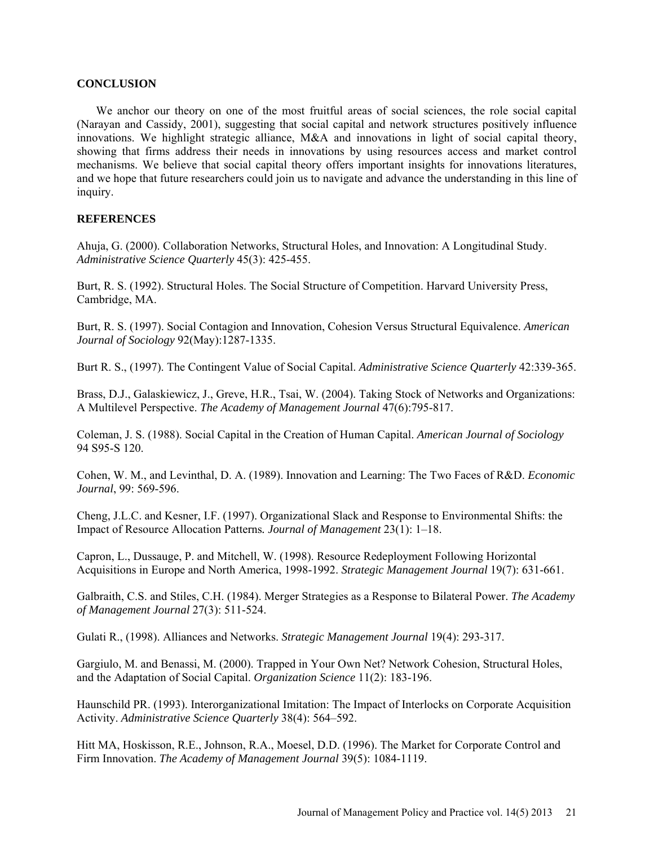### **CONCLUSION**

We anchor our theory on one of the most fruitful areas of social sciences, the role social capital (Narayan and Cassidy, 2001), suggesting that social capital and network structures positively influence innovations. We highlight strategic alliance, M&A and innovations in light of social capital theory, showing that firms address their needs in innovations by using resources access and market control mechanisms. We believe that social capital theory offers important insights for innovations literatures, and we hope that future researchers could join us to navigate and advance the understanding in this line of inquiry.

# **REFERENCES**

Ahuja, G. (2000). Collaboration Networks, Structural Holes, and Innovation: A Longitudinal Study. *Administrative Science Quarterly* 45(3): 425-455.

Burt, R. S. (1992). Structural Holes. The Social Structure of Competition. Harvard University Press, Cambridge, MA.

Burt, R. S. (1997). Social Contagion and Innovation, Cohesion Versus Structural Equivalence. *American Journal of Sociology* 92(May):1287-1335.

Burt R. S., (1997). The Contingent Value of Social Capital. *Administrative Science Quarterly* 42:339-365.

Brass, D.J., Galaskiewicz, J., Greve, H.R., Tsai, W. (2004). Taking Stock of Networks and Organizations: A Multilevel Perspective. *The Academy of Management Journal* 47(6):795-817.

Coleman, J. S. (1988). Social Capital in the Creation of Human Capital. *American Journal of Sociology* 94 S95-S 120.

Cohen, W. M., and Levinthal, D. A. (1989). Innovation and Learning: The Two Faces of R&D. *Economic Journal*, 99: 569-596.

Cheng, J.L.C. and Kesner, I.F. (1997). Organizational Slack and Response to Environmental Shifts: the Impact of Resource Allocation Patterns*. Journal of Management* 23(1): 1–18.

Capron, L., Dussauge, P. and Mitchell, W. (1998). Resource Redeployment Following Horizontal Acquisitions in Europe and North America, 1998-1992. *Strategic Management Journal* 19(7): 631-661.

Galbraith, C.S. and Stiles, C.H. (1984). Merger Strategies as a Response to Bilateral Power. *The Academy of Management Journal* 27(3): 511-524.

Gulati R., (1998). Alliances and Networks. *Strategic Management Journal* 19(4): 293-317.

Gargiulo, M. and Benassi, M. (2000). Trapped in Your Own Net? Network Cohesion, Structural Holes, and the Adaptation of Social Capital. *Organization Science* 11(2): 183-196.

Haunschild PR. (1993). Interorganizational Imitation: The Impact of Interlocks on Corporate Acquisition Activity. *Administrative Science Quarterly* 38(4): 564–592.

Hitt MA, Hoskisson, R.E., Johnson, R.A., Moesel, D.D. (1996). The Market for Corporate Control and Firm Innovation. *The Academy of Management Journal* 39(5): 1084-1119.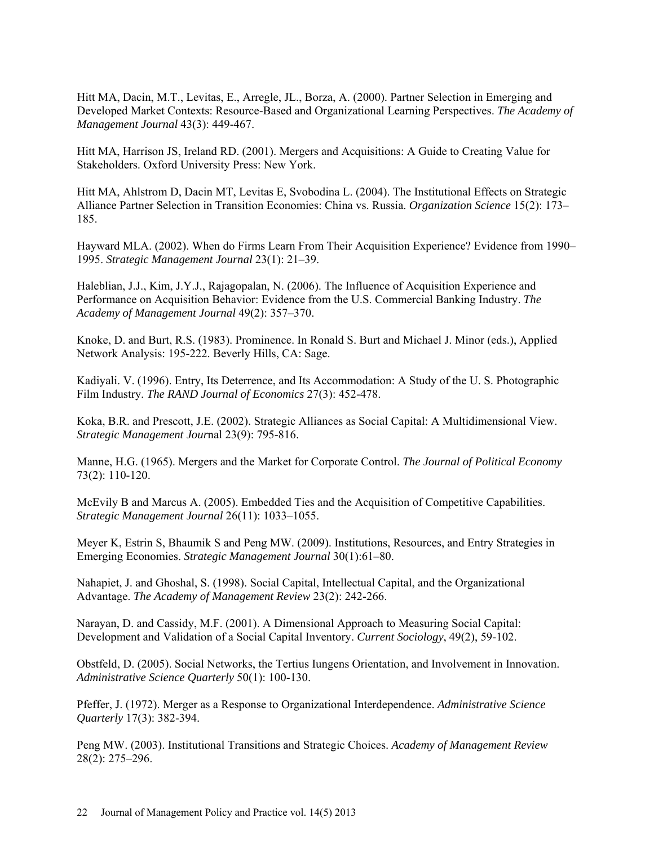Hitt MA, Dacin, M.T., Levitas, E., Arregle, JL., Borza, A. (2000). Partner Selection in Emerging and Developed Market Contexts: Resource-Based and Organizational Learning Perspectives. *The Academy of Management Journal* 43(3): 449-467.

Hitt MA, Harrison JS, Ireland RD. (2001). Mergers and Acquisitions: A Guide to Creating Value for Stakeholders. Oxford University Press: New York.

Hitt MA, Ahlstrom D, Dacin MT, Levitas E, Svobodina L. (2004). The Institutional Effects on Strategic Alliance Partner Selection in Transition Economies: China vs. Russia. *Organization Science* 15(2): 173– 185.

Hayward MLA. (2002). When do Firms Learn From Their Acquisition Experience? Evidence from 1990– 1995. *Strategic Management Journal* 23(1): 21–39.

Haleblian, J.J., Kim, J.Y.J., Rajagopalan, N. (2006). The Influence of Acquisition Experience and Performance on Acquisition Behavior: Evidence from the U.S. Commercial Banking Industry. *The Academy of Management Journal* 49(2): 357–370.

Knoke, D. and Burt, R.S. (1983). Prominence. In Ronald S. Burt and Michael J. Minor (eds.), Applied Network Analysis: 195-222. Beverly Hills, CA: Sage.

Kadiyali. V. (1996). Entry, Its Deterrence, and Its Accommodation: A Study of the U. S. Photographic Film Industry. *The RAND Journal of Economics* 27(3): 452-478.

Koka, B.R. and Prescott, J.E. (2002). Strategic Alliances as Social Capital: A Multidimensional View. *Strategic Management Jour*nal 23(9): 795-816.

Manne, H.G. (1965). Mergers and the Market for Corporate Control. *The Journal of Political Economy* 73(2): 110-120.

McEvily B and Marcus A. (2005). Embedded Ties and the Acquisition of Competitive Capabilities. *Strategic Management Journal* 26(11): 1033–1055.

Meyer K, Estrin S, Bhaumik S and Peng MW. (2009). Institutions, Resources, and Entry Strategies in Emerging Economies. *Strategic Management Journal* 30(1):61–80.

Nahapiet, J. and Ghoshal, S. (1998). Social Capital, Intellectual Capital, and the Organizational Advantage. *The Academy of Management Review* 23(2): 242-266.

Narayan, D. and Cassidy, M.F. (2001). A Dimensional Approach to Measuring Social Capital: Development and Validation of a Social Capital Inventory. *Current Sociology*, 49(2), 59-102.

Obstfeld, D. (2005). Social Networks, the Tertius Iungens Orientation, and Involvement in Innovation. *Administrative Science Quarterly* 50(1): 100-130.

Pfeffer, J. (1972). Merger as a Response to Organizational Interdependence. *Administrative Science Quarterly* 17(3): 382-394.

Peng MW. (2003). Institutional Transitions and Strategic Choices. *Academy of Management Review* 28(2): 275–296.